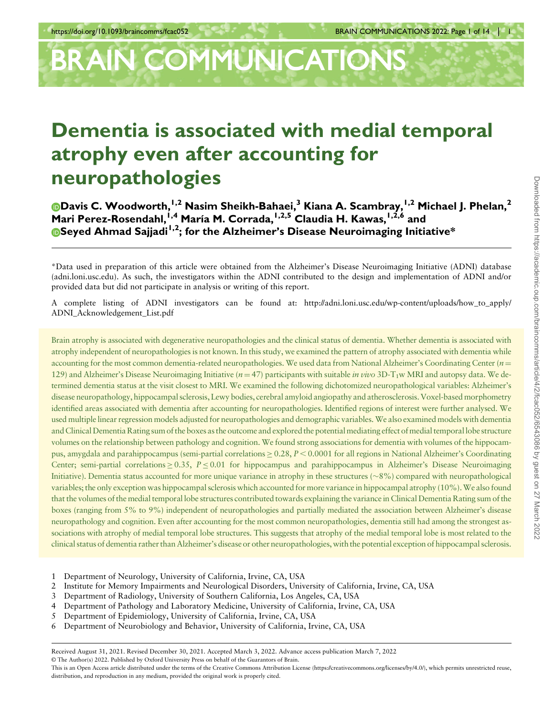# BRAIN COMMUNICATIONS

## Dementia is associated with medial temporal atrophy even after accounting for neuropathologies

[D](https://orcid.org/0000-0002-6256-857X)avis C. Woodworth,<sup>I,2</sup> Nasim Sheikh-Bahaei,<sup>3</sup> Kiana A. Scambray,<sup>I,2</sup> Michael J. Phelan,<sup>2</sup> Mari Perez-Rosendahl,<sup>1,4</sup> María M. Corrada,<sup>1,2,5</sup> Claudia H. Kawas,<sup>1,2,6</sup> and **O[S](https://orcid.org/0000-0002-8960-2213)eyed Ahmad Sajjadi**<sup>1,2</sup>; for the Alzheimer's Disease Neuroimaging Initiative\*

\*Data used in preparation of this article were obtained from the Alzheimer's Disease Neuroimaging Initiative (ADNI) database (adni.loni.usc.edu). As such, the investigators within the ADNI contributed to the design and implementation of ADNI and/or provided data but did not participate in analysis or writing of this report.

A complete listing of ADNI investigators can be found at: http://adni.loni.usc.edu/wp-content/uploads/how\_to\_apply/ ADNI\_Acknowledgement\_List.pdf

Brain atrophy is associated with degenerative neuropathologies and the clinical status of dementia. Whether dementia is associated with atrophy independent of neuropathologies is not known. In this study, we examined the pattern of atrophy associated with dementia while accounting for the most common dementia-related neuropathologies. We used data from National Alzheimer's Coordinating Center ( $n=$ 129) and Alzheimer's Disease Neuroimaging Initiative ( $n=47$ ) participants with suitable *in vivo* 3D-T<sub>1</sub>w MRI and autopsy data. We determined dementia status at the visit closest to MRI. We examined the following dichotomized neuropathological variables: Alzheimer's disease neuropathology, hippocampal sclerosis, Lewy bodies, cerebral amyloid angiopathy and atherosclerosis. Voxel-based morphometry identified areas associated with dementia after accounting for neuropathologies. Identified regions of interest were further analysed. We used multiple linear regression models adjusted for neuropathologies and demographic variables. We also examined models with dementia and Clinical Dementia Rating sum of the boxes as the outcome and explored the potentialmediating effect of medial temporallobe structure volumes on the relationship between pathology and cognition. We found strong associations for dementia with volumes of the hippocampus, amygdala and parahippocampus (semi-partial correlations  $\geq$  0.28,  $P \leq 0.0001$  for all regions in National Alzheimer's Coordinating Center; semi-partial correlations  $\geq 0.35$ ,  $P \leq 0.01$  for hippocampus and parahippocampus in Alzheimer's Disease Neuroimaging Initiative). Dementia status accounted for more unique variance in atrophy in these structures  $(\sim 8\%)$  compared with neuropathological variables; the only exception was hippocampal sclerosis which accounted for more variance in hippocampal atrophy (10%). We also found that the volumes of the medial temporal lobe structures contributed towards explaining the variance in Clinical Dementia Rating sum of the boxes (ranging from 5% to 9%) independent of neuropathologies and partially mediated the association between Alzheimer's disease neuropathology and cognition. Even after accounting for the most common neuropathologies, dementia still had among the strongest associations with atrophy of medial temporal lobe structures. This suggests that atrophy of the medial temporal lobe is most related to the clinical status of dementia rather than Alzheimer's disease or other neuropathologies, with the potential exception of hippocampal sclerosis.

- 1 Department of Neurology, University of California, Irvine, CA, USA
- 2 Institute for Memory Impairments and Neurological Disorders, University of California, Irvine, CA, USA
- 3 Department of Radiology, University of Southern California, Los Angeles, CA, USA
- 4 Department of Pathology and Laboratory Medicine, University of California, Irvine, CA, USA
- 5 Department of Epidemiology, University of California, Irvine, CA, USA
- 6 Department of Neurobiology and Behavior, University of California, Irvine, CA, USA

© The Author(s) 2022. Published by Oxford University Press on behalf of the Guarantors of Brain.

Received August 31, 2021. Revised December 30, 2021. Accepted March 3, 2022. Advance access publication March 7, 2022

This is an Open Access article distributed under the terms of the Creative Commons Attribution License ([https://creativecommons.org/licenses/by/4.0/\)](https://creativecommons.org/licenses/by/4.0/), which permits unrestricted reuse, distribution, and reproduction in any medium, provided the original work is properly cited.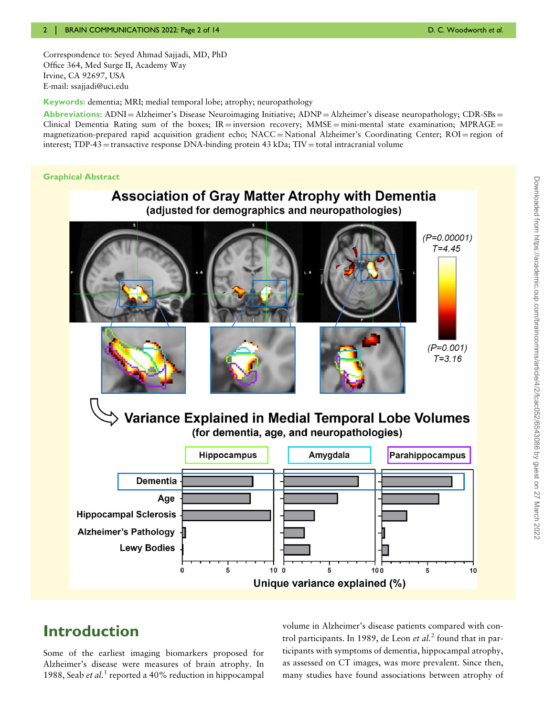Correspondence to: Seyed Ahmad Sajjadi, MD, PhD Office 364, Med Surge II, Academy Way Irvine, CA 92697, USA E-mail: [ssajjadi@uci.edu](mailto:ssajjadi@uci.edu)

Keywords: dementia; MRI; medial temporal lobe; atrophy; neuropathology

Abbreviations:  $ADNI = Alzheimer's$  Disease Neuroimaging Initiative;  $ADNP = Alzheimer's$  disease neuropathology;  $CDR-SBs =$ Clinical Dementia Rating sum of the boxes;  $IR =$  inversion recovery;  $MMSE =$  mini-mental state examination; MPRAGE = magnetization-prepared rapid acquisition gradient echo; NACC = National Alzheimer's Coordinating Center; ROI = region of interest; TDP-43 = transactive response DNA-binding protein 43 kDa; TIV = total intracranial volume

#### Graphical Abstract



## Introduction

<span id="page-1-0"></span>Some of the earliest imaging biomarkers proposed for Alzheimer's disease were measures of brain atrophy. In [1](#page-12-0)988, Seab *et al.*<sup>1</sup> reported a 40% reduction in hippocampal

<span id="page-1-1"></span>volume in Alzheimer's disease patients compared with control participants. In 1989, de Leon *et al.*<sup>[2](#page-12-0)</sup> found that in participants with symptoms of dementia, hippocampal atrophy, as assessed on CT images, was more prevalent. Since then, many studies have found associations between atrophy of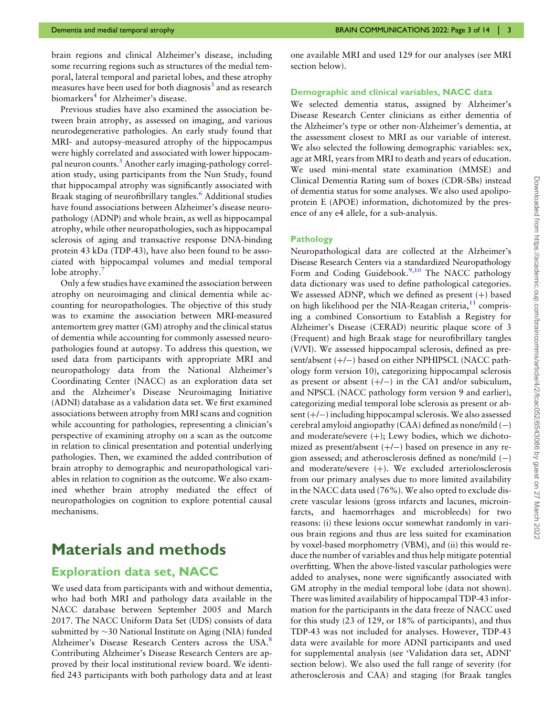<span id="page-2-0"></span>brain regions and clinical Alzheimer's disease, including some recurring regions such as structures of the medial temporal, lateral temporal and parietal lobes, and these atrophy measures have been used for both diagnosis<sup>[3](#page-12-0)</sup> and as research biomarkers<sup>4</sup> for Alzheimer's disease.

<span id="page-2-3"></span><span id="page-2-2"></span><span id="page-2-1"></span>Previous studies have also examined the association between brain atrophy, as assessed on imaging, and various neurodegenerative pathologies. An early study found that MRI- and autopsy-measured atrophy of the hippocampus were highly correlated and associated with lower hippocampal neuron counts.[5](#page-12-0) Another early imaging-pathology correlation study, using participants from the Nun Study, found that hippocampal atrophy was significantly associated with Braak staging of neurofibrillary tangles.<sup>[6](#page-12-0)</sup> Additional studies have found associations between Alzheimer's disease neuropathology (ADNP) and whole brain, as well as hippocampal atrophy, while other neuropathologies, such as hippocampal sclerosis of aging and transactive response DNA-binding protein 43 kDa (TDP-43), have also been found to be associated with hippocampal volumes and medial temporal lobe atrophy.<sup>[7](#page-12-0)</sup>

<span id="page-2-4"></span>Only a few studies have examined the association between atrophy on neuroimaging and clinical dementia while accounting for neuropathologies. The objective of this study was to examine the association between MRI-measured antemortem grey matter (GM) atrophy and the clinical status of dementia while accounting for commonly assessed neuropathologies found at autopsy. To address this question, we used data from participants with appropriate MRI and neuropathology data from the National Alzheimer's Coordinating Center (NACC) as an exploration data set and the Alzheimer's Disease Neuroimaging Initiative (ADNI) database as a validation data set. We first examined associations between atrophy from MRI scans and cognition while accounting for pathologies, representing a clinician's perspective of examining atrophy on a scan as the outcome in relation to clinical presentation and potential underlying pathologies. Then, we examined the added contribution of brain atrophy to demographic and neuropathological variables in relation to cognition as the outcome. We also examined whether brain atrophy mediated the effect of neuropathologies on cognition to explore potential causal mechanisms.

## Materials and methods

#### Exploration data set, NACC

<span id="page-2-5"></span>We used data from participants with and without dementia, who had both MRI and pathology data available in the NACC database between September 2005 and March 2017. The NACC Uniform Data Set (UDS) consists of data submitted by  $\sim$ 30 National Institute on Aging (NIA) funded Alzheimer's Disease Research Centers across the USA.<sup>[8](#page-12-0)</sup> Contributing Alzheimer's Disease Research Centers are approved by their local institutional review board. We identified 243 participants with both pathology data and at least one available MRI and used 129 for our analyses (see MRI section below).

#### Demographic and clinical variables, NACC data

We selected dementia status, assigned by Alzheimer's Disease Research Center clinicians as either dementia of the Alzheimer's type or other non-Alzheimer's dementia, at the assessment closest to MRI as our variable of interest. We also selected the following demographic variables: sex, age at MRI, years from MRI to death and years of education. We used mini-mental state examination (MMSE) and Clinical Dementia Rating sum of boxes (CDR-SBs) instead of dementia status for some analyses. We also used apolipoprotein E (APOE) information, dichotomized by the presence of any e4 allele, for a sub-analysis.

#### Pathology

<span id="page-2-7"></span><span id="page-2-6"></span>Neuropathological data are collected at the Alzheimer's Disease Research Centers via a standardized Neuropathology Form and Coding Guidebook. $9,10$  $9,10$  $9,10$  The NACC pathology data dictionary was used to define pathological categories. We assessed ADNP, which we defined as present  $(+)$  based on high likelihood per the NIA-Reagan criteria, $11$  comprising a combined Consortium to Establish a Registry for Alzheimer's Disease (CERAD) neuritic plaque score of 3 (Frequent) and high Braak stage for neurofibrillary tangles (V/VI). We assessed hippocampal sclerosis, defined as present/absent (+/−) based on either NPHIPSCL (NACC pathology form version 10), categorizing hippocampal sclerosis as present or absent  $(+/-)$  in the CA1 and/or subiculum, and NPSCL (NACC pathology form version 9 and earlier), categorizing medial temporal lobe sclerosis as present or absent (+/−) including hippocampal sclerosis. We also assessed cerebral amyloid angiopathy (CAA) defined as none/mild (−) and moderate/severe  $(+)$ ; Lewy bodies, which we dichotomized as present/absent (+/−) based on presence in any region assessed; and atherosclerosis defined as none/mild  $(-)$ and moderate/severe (+). We excluded arteriolosclerosis from our primary analyses due to more limited availability in the NACC data used (76%). We also opted to exclude discrete vascular lesions (gross infarcts and lacunes, microinfarcts, and haemorrhages and microbleeds) for two reasons: (i) these lesions occur somewhat randomly in various brain regions and thus are less suited for examination by voxel-based morphometry (VBM), and (ii) this would reduce the number of variables and thus help mitigate potential overfitting. When the above-listed vascular pathologies were added to analyses, none were significantly associated with GM atrophy in the medial temporal lobe (data not shown). There was limited availability of hippocampal TDP-43 information for the participants in the data freeze of NACC used for this study (23 of 129, or 18% of participants), and thus TDP-43 was not included for analyses. However, TDP-43 data were available for more ADNI participants and used for supplemental analysis (see 'Validation data set, ADNI' section below). We also used the full range of severity (for atherosclerosis and CAA) and staging (for Braak tangles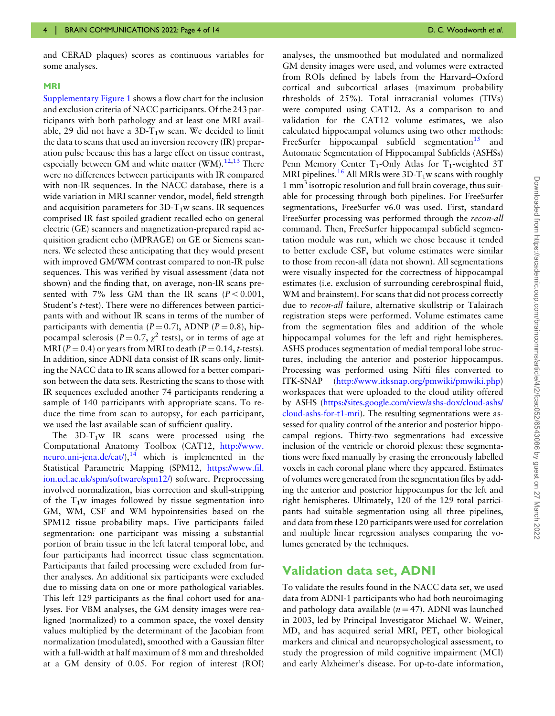and CERAD plaques) scores as continuous variables for some analyses.

#### MRI

<span id="page-3-0"></span>[Supplementary Figure 1](http://academic.oup.com/braincomms/article-lookup/doi/10.1093/braincomms/fcac052#supplementary-data) shows a flow chart for the inclusion and exclusion criteria of NACC participants. Of the 243 participants with both pathology and at least one MRI available, 29 did not have a  $3D-T_1w$  scan. We decided to limit the data to scans that used an inversion recovery (IR) preparation pulse because this has a large effect on tissue contrast, especially between GM and white matter (WM). $^{12,13}$  $^{12,13}$  $^{12,13}$  $^{12,13}$  There were no differences between participants with IR compared with non-IR sequences. In the NACC database, there is a wide variation in MRI scanner vendor, model, field strength and acquisition parameters for  $3D-T_1w$  scans. IR sequences comprised IR fast spoiled gradient recalled echo on general electric (GE) scanners and magnetization-prepared rapid acquisition gradient echo (MPRAGE) on GE or Siemens scanners. We selected these anticipating that they would present with improved GM/WM contrast compared to non-IR pulse sequences. This was verified by visual assessment (data not shown) and the finding that, on average, non-IR scans presented with 7% less GM than the IR scans ( $P < 0.001$ , Student's t-test). There were no differences between participants with and without IR scans in terms of the number of participants with dementia ( $P = 0.7$ ), ADNP ( $P = 0.8$ ), hippocampal sclerosis ( $P = 0.7$ ,  $\chi^2$  tests), or in terms of age at MRI ( $P = 0.4$ ) or years from MRI to death ( $P = 0.14$ , t-tests). In addition, since ADNI data consist of IR scans only, limiting the NACC data to IR scans allowed for a better comparison between the data sets. Restricting the scans to those with IR sequences excluded another 74 participants rendering a sample of 140 participants with appropriate scans. To reduce the time from scan to autopsy, for each participant, we used the last available scan of sufficient quality.

<span id="page-3-1"></span>The  $3D-T_1w$  IR scans were processed using the Computational Anatomy Toolbox (CAT12, [http://www.](http://www.neuro.uni-jena.de/cat/) neuro.uni-jena.de/cat/ $\lambda$ ,<sup>[14](#page-13-0)</sup> which is implemented in the Statistical Parametric Mapping (SPM12, [https://www.](https://www.fil.ion.ucl.ac.uk/spm/software/spm12/)fil. [ion.ucl.ac.uk/spm/software/spm12/](https://www.fil.ion.ucl.ac.uk/spm/software/spm12/)) software. Preprocessing involved normalization, bias correction and skull-stripping of the  $T_1w$  images followed by tissue segmentation into GM, WM, CSF and WM hypointensities based on the SPM12 tissue probability maps. Five participants failed segmentation: one participant was missing a substantial portion of brain tissue in the left lateral temporal lobe, and four participants had incorrect tissue class segmentation. Participants that failed processing were excluded from further analyses. An additional six participants were excluded due to missing data on one or more pathological variables. This left 129 participants as the final cohort used for analyses. For VBM analyses, the GM density images were realigned (normalized) to a common space, the voxel density values multiplied by the determinant of the Jacobian from normalization (modulated), smoothed with a Gaussian filter with a full-width at half maximum of 8 mm and thresholded at a GM density of 0.05. For region of interest (ROI)

<span id="page-3-3"></span><span id="page-3-2"></span>analyses, the unsmoothed but modulated and normalized GM density images were used, and volumes were extracted from ROIs defined by labels from the Harvard–Oxford cortical and subcortical atlases (maximum probability thresholds of 25%). Total intracranial volumes (TIVs) were computed using CAT12. As a comparison to and validation for the CAT12 volume estimates, we also calculated hippocampal volumes using two other methods: FreeSurfer hippocampal subfield segmentation<sup>[15](#page-13-0)</sup> and Automatic Segmentation of Hippocampal Subfields (ASHSs) Penn Memory Center  $T_1$ -Only Atlas for  $T_1$ -weighted 3T MRI pipelines.<sup>[16](#page-13-0)</sup> All MRIs were 3D-T<sub>1</sub>w scans with roughly 1 mm<sup>3</sup> isotropic resolution and full brain coverage, thus suitable for processing through both pipelines. For FreeSurfer segmentations, FreeSurfer v6.0 was used. First, standard FreeSurfer processing was performed through the recon-all command. Then, FreeSurfer hippocampal subfield segmentation module was run, which we chose because it tended to better exclude CSF, but volume estimates were similar to those from recon-all (data not shown). All segmentations were visually inspected for the correctness of hippocampal estimates (i.e. exclusion of surrounding cerebrospinal fluid, WM and brainstem). For scans that did not process correctly due to recon-all failure, alternative skullstrip or Talairach registration steps were performed. Volume estimates came from the segmentation files and addition of the whole hippocampal volumes for the left and right hemispheres. ASHS produces segmentation of medial temporal lobe structures, including the anterior and posterior hippocampus. Processing was performed using Nifti files converted to ITK-SNAP [\(http://www.itksnap.org/pmwiki/pmwiki.php](http://www.itksnap.org/pmwiki/pmwiki.php)) workspaces that were uploaded to the cloud utility offered by ASHS ([https://sites.google.com/view/ashs-dox/cloud-ashs/](https://sites.google.com/view/ashs-dox/cloud-ashs/cloud-ashs-for-t1-mri) [cloud-ashs-for-t1-mri](https://sites.google.com/view/ashs-dox/cloud-ashs/cloud-ashs-for-t1-mri)). The resulting segmentations were assessed for quality control of the anterior and posterior hippocampal regions. Thirty-two segmentations had excessive inclusion of the ventricle or choroid plexus: these segmentations were fixed manually by erasing the erroneously labelled voxels in each coronal plane where they appeared. Estimates of volumes were generated from the segmentation files by adding the anterior and posterior hippocampus for the left and right hemispheres. Ultimately, 120 of the 129 total participants had suitable segmentation using all three pipelines, and data from these 120 participants were used for correlation and multiple linear regression analyses comparing the volumes generated by the techniques.

#### Validation data set, ADNI

To validate the results found in the NACC data set, we used data from ADNI-1 participants who had both neuroimaging and pathology data available ( $n = 47$ ). ADNI was launched in 2003, led by Principal Investigator Michael W. Weiner, MD, and has acquired serial MRI, PET, other biological markers and clinical and neuropsychological assessment, to study the progression of mild cognitive impairment (MCI) and early Alzheimer's disease. For up-to-date information,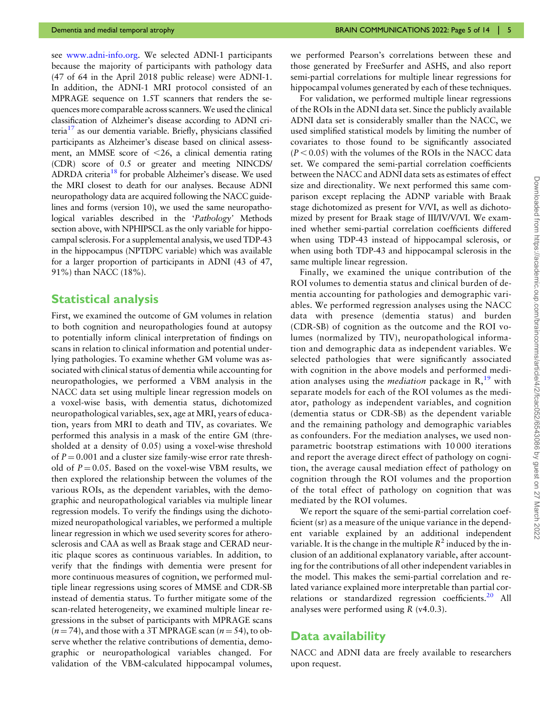<span id="page-4-1"></span><span id="page-4-0"></span>see [www.adni-info.org](https://www.adni-info.org). We selected ADNI-1 participants because the majority of participants with pathology data (47 of 64 in the April 2018 public release) were ADNI-1. In addition, the ADNI-1 MRI protocol consisted of an MPRAGE sequence on 1.5T scanners that renders the sequences more comparable across scanners.We used the clinical classification of Alzheimer's disease according to ADNI criteria $^{17}$  as our dementia variable. Briefly, physicians classified participants as Alzheimer's disease based on clinical assessment, an MMSE score of  $<$ 26, a clinical dementia rating (CDR) score of 0.5 or greater and meeting NINCDS/ ADRDA criteria<sup>[18](#page-13-0)</sup> for probable Alzheimer's disease. We used the MRI closest to death for our analyses. Because ADNI neuropathology data are acquired following the NACC guidelines and forms (version 10), we used the same neuropathological variables described in the 'Pathology' Methods section above, with NPHIPSCL as the only variable for hippocampal sclerosis. For a supplemental analysis, we used TDP-43 in the hippocampus (NPTDPC variable) which was available for a larger proportion of participants in ADNI (43 of 47, 91%) than NACC (18%).

#### Statistical analysis

First, we examined the outcome of GM volumes in relation to both cognition and neuropathologies found at autopsy to potentially inform clinical interpretation of findings on scans in relation to clinical information and potential underlying pathologies. To examine whether GM volume was associated with clinical status of dementia while accounting for neuropathologies, we performed a VBM analysis in the NACC data set using multiple linear regression models on a voxel-wise basis, with dementia status, dichotomized neuropathological variables, sex, age at MRI, years of education, years from MRI to death and TIV, as covariates. We performed this analysis in a mask of the entire GM (thresholded at a density of 0.05) using a voxel-wise threshold of  $P = 0.001$  and a cluster size family-wise error rate threshold of  $P = 0.05$ . Based on the voxel-wise VBM results, we then explored the relationship between the volumes of the various ROIs, as the dependent variables, with the demographic and neuropathological variables via multiple linear regression models. To verify the findings using the dichotomized neuropathological variables, we performed a multiple linear regression in which we used severity scores for atherosclerosis and CAA as well as Braak stage and CERAD neuritic plaque scores as continuous variables. In addition, to verify that the findings with dementia were present for more continuous measures of cognition, we performed multiple linear regressions using scores of MMSE and CDR-SB instead of dementia status. To further mitigate some of the scan-related heterogeneity, we examined multiple linear regressions in the subset of participants with MPRAGE scans  $(n = 74)$ , and those with a 3T MPRAGE scan  $(n = 54)$ , to observe whether the relative contributions of dementia, demographic or neuropathological variables changed. For validation of the VBM-calculated hippocampal volumes,

we performed Pearson's correlations between these and those generated by FreeSurfer and ASHS, and also report semi-partial correlations for multiple linear regressions for hippocampal volumes generated by each of these techniques.

For validation, we performed multiple linear regressions of the ROIs in the ADNI data set. Since the publicly available ADNI data set is considerably smaller than the NACC, we used simplified statistical models by limiting the number of covariates to those found to be significantly associated  $(P < 0.05)$  with the volumes of the ROIs in the NACC data set. We compared the semi-partial correlation coefficients between the NACC and ADNI data sets as estimates of effect size and directionality. We next performed this same comparison except replacing the ADNP variable with Braak stage dichotomized as present for V/VI, as well as dichotomized by present for Braak stage of III/IV/V/VI. We examined whether semi-partial correlation coefficients differed when using TDP-43 instead of hippocampal sclerosis, or when using both TDP-43 and hippocampal sclerosis in the same multiple linear regression.

<span id="page-4-2"></span>Finally, we examined the unique contribution of the ROI volumes to dementia status and clinical burden of dementia accounting for pathologies and demographic variables. We performed regression analyses using the NACC data with presence (dementia status) and burden (CDR-SB) of cognition as the outcome and the ROI volumes (normalized by TIV), neuropathological information and demographic data as independent variables. We selected pathologies that were significantly associated with cognition in the above models and performed mediation analyses using the *mediation* package in  $R<sup>19</sup>$  $R<sup>19</sup>$  $R<sup>19</sup>$  with separate models for each of the ROI volumes as the mediator, pathology as independent variables, and cognition (dementia status or CDR-SB) as the dependent variable and the remaining pathology and demographic variables as confounders. For the mediation analyses, we used nonparametric bootstrap estimations with 10 000 iterations and report the average direct effect of pathology on cognition, the average causal mediation effect of pathology on cognition through the ROI volumes and the proportion of the total effect of pathology on cognition that was mediated by the ROI volumes.

We report the square of the semi-partial correlation coefficient (sr) as a measure of the unique variance in the dependent variable explained by an additional independent variable. It is the change in the multiple  $R^2$  induced by the inclusion of an additional explanatory variable, after accounting for the contributions of all other independent variables in the model. This makes the semi-partial correlation and related variance explained more interpretable than partial cor-relations or standardized regression coefficients.<sup>[20](#page-13-0)</sup> All analyses were performed using R (v4.0.3).

#### <span id="page-4-3"></span>Data availability

NACC and ADNI data are freely available to researchers upon request.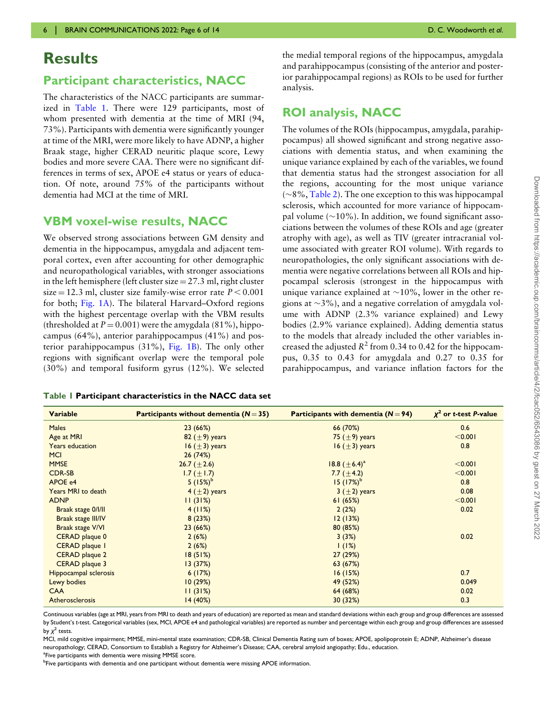### **Results**

#### Participant characteristics, NACC

The characteristics of the NACC participants are summarized in Table 1. There were 129 participants, most of whom presented with dementia at the time of MRI (94, 73%). Participants with dementia were significantly younger at time of the MRI, were more likely to have ADNP, a higher Braak stage, higher CERAD neuritic plaque score, Lewy bodies and more severe CAA. There were no significant differences in terms of sex, APOE e4 status or years of education. Of note, around 75% of the participants without dementia had MCI at the time of MRI.

#### VBM voxel-wise results, NACC

We observed strong associations between GM density and dementia in the hippocampus, amygdala and adjacent temporal cortex, even after accounting for other demographic and neuropathological variables, with stronger associations in the left hemisphere (left cluster size  $= 27.3$  ml, right cluster size = 12.3 ml, cluster size family-wise error rate  $P < 0.001$ for both; [Fig. 1A\)](#page-6-0). The bilateral Harvard–Oxford regions with the highest percentage overlap with the VBM results (thresholded at  $P = 0.001$ ) were the amygdala (81%), hippocampus (64%), anterior parahippocampus (41%) and posterior parahippocampus (31%), [Fig. 1B](#page-6-0)). The only other regions with significant overlap were the temporal pole (30%) and temporal fusiform gyrus (12%). We selected

|  |  |  | Table 1 Participant characteristics in the NACC data set |  |  |  |  |
|--|--|--|----------------------------------------------------------|--|--|--|--|
|--|--|--|----------------------------------------------------------|--|--|--|--|

the medial temporal regions of the hippocampus, amygdala and parahippocampus (consisting of the anterior and posterior parahippocampal regions) as ROIs to be used for further analysis.

#### ROI analysis, NACC

The volumes of the ROIs (hippocampus, amygdala, parahippocampus) all showed significant and strong negative associations with dementia status, and when examining the unique variance explained by each of the variables, we found that dementia status had the strongest association for all the regions, accounting for the most unique variance  $(\sim8\%, \text{Table 2})$ . The one exception to this was hippocampal sclerosis, which accounted for more variance of hippocampal volume  $(\sim 10\%)$ . In addition, we found significant associations between the volumes of these ROIs and age (greater atrophy with age), as well as TIV (greater intracranial volume associated with greater ROI volume). With regards to neuropathologies, the only significant associations with dementia were negative correlations between all ROIs and hippocampal sclerosis (strongest in the hippocampus with unique variance explained at  $\sim$ 10%, lower in the other regions at  $\sim$ 3%), and a negative correlation of amygdala volume with ADNP (2.3% variance explained) and Lewy bodies (2.9% variance explained). Adding dementia status to the models that already included the other variables increased the adjusted  $R^2$  from 0.34 to 0.42 for the hippocampus, 0.35 to 0.43 for amygdala and 0.27 to 0.35 for parahippocampus, and variance inflation factors for the

| <b>Variable</b>       | Participants without dementia $(N = 35)$ | Participants with dementia $(N=94)$ | $x^2$ or t-test P-value |
|-----------------------|------------------------------------------|-------------------------------------|-------------------------|
| <b>Males</b>          | 23(66%)                                  | 66 (70%)                            | 0.6                     |
| Age at MRI            | 82 $(\pm 9)$ years                       | 75 ( $\pm$ 9) years                 | < 0.001                 |
| Years education       | 16 $(\pm 3)$ years                       | 16 $(\pm 3)$ years                  | 0.8                     |
| <b>MCI</b>            | 26(74%)                                  |                                     |                         |
| <b>MMSE</b>           | 26.7 $(\pm 2.6)$                         | 18.8 $(\pm 6.4)^a$                  | < 0.001                 |
| <b>CDR-SB</b>         | 1.7 ( $\pm$ 1.7)                         | 7.7 $(\pm 4.2)$                     | < 0.001                 |
| APOE e4               | 5 $(15%)^b$                              | $15 (17%)^b$                        | 0.8                     |
| Years MRI to death    | 4 $(\pm 2)$ years                        | 3 $(\pm 2)$ years                   | 0.08                    |
| <b>ADNP</b>           | 11(31%)                                  | 61(65%)                             | < 0.001                 |
| Braak stage 0/1/11    | 4(11%)                                   | 2(2%)                               | 0.02                    |
| Braak stage III/IV    | 8(23%)                                   | 12(13%)                             |                         |
| Braak stage V/VI      | 23(66%)                                  | 80 (85%)                            |                         |
| CERAD plaque 0        | 2(6%)                                    | 3(3%)                               | 0.02                    |
| CERAD plaque I        | 2(6%)                                    | 1(1%)                               |                         |
| CERAD plaque 2        | 18(51%)                                  | 27(29%)                             |                         |
| CERAD plaque 3        | 13(37%)                                  | 63 (67%)                            |                         |
| Hippocampal sclerosis | 6(17%)                                   | 16(15%)                             | 0.7                     |
| Lewy bodies           | 10(29%)                                  | 49 (52%)                            | 0.049                   |
| <b>CAA</b>            | 11(31%)                                  | 64 (68%)                            | 0.02                    |
| Atherosclerosis       | 14 (40%)                                 | 30 (32%)                            | 0.3                     |

Continuous variables (age at MRI, years from MRI to death and years of education) are reported as mean and standard deviations within each group and group differences are assessed by Student'<sup>s</sup> t-test. Categorical variables (sex, MCI, APOE e4 and pathological variables) are reported as number and percentage within each group and group differences are assessed by  $\chi^2$  tests.

MCI, mild cognitive impairment; MMSE, mini-mental state examination; CDR-SB, Clinical Dementia Rating sum of boxes; APOE, apolipoprotein E; ADNP, Alzheimer's disease neuropathology; CERAD, Consortium to Establish a Registry for Alzheimer's Disease; CAA, cerebral amyloid angiopathy; Edu., education.

<sup>a</sup>Five participants with dementia were missing MMSE score.

<sup>b</sup>Five participants with dementia and one participant without dementia were missing APOE information.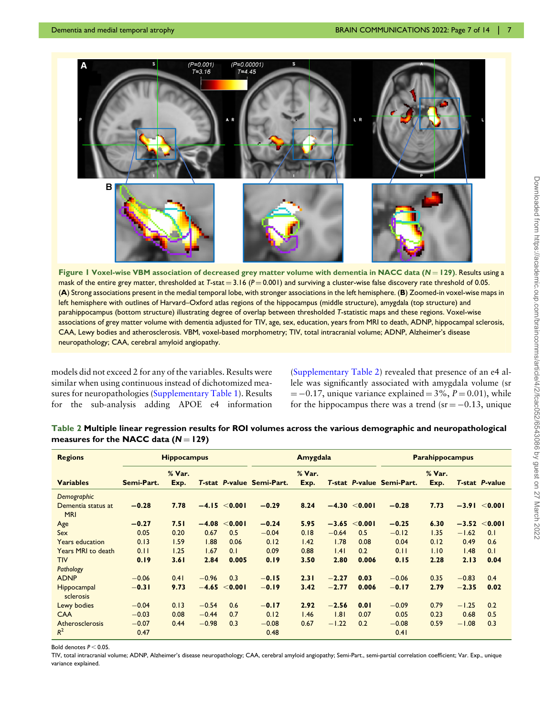<span id="page-6-0"></span>

Figure 1 Voxel-wise VBM association of decreased grey matter volume with dementia in NACC data ( $N = 129$ ). Results using a mask of the entire grey matter, thresholded at T-stat =  $3.16$  (P = 0.001) and surviving a cluster-wise false discovery rate threshold of 0.05. (A) Strong associations present in the medial temporal lobe, with stronger associations in the left hemisphere. (B) Zoomed-in voxel-wise maps in left hemisphere with outlines of Harvard–Oxford atlas regions of the hippocampus (middle structure), amygdala (top structure) and parahippocampus (bottom structure) illustrating degree of overlap between thresholded T-statistic maps and these regions. Voxel-wise associations of grey matter volume with dementia adjusted for TIV, age, sex, education, years from MRI to death, ADNP, hippocampal sclerosis, CAA, Lewy bodies and atherosclerosis. VBM, voxel-based morphometry; TIV, total intracranial volume; ADNP, Alzheimer's disease neuropathology; CAA, cerebral amyloid angiopathy.

models did not exceed 2 for any of the variables. Results were similar when using continuous instead of dichotomized measures for neuropathologies [\(Supplementary Table 1](http://academic.oup.com/braincomms/article-lookup/doi/10.1093/braincomms/fcac052#supplementary-data)). Results for the sub-analysis adding APOE e4 information ([Supplementary Table 2](http://academic.oup.com/braincomms/article-lookup/doi/10.1093/braincomms/fcac052#supplementary-data)) revealed that presence of an e4 allele was significantly associated with amygdala volume (sr  $= -0.17$ , unique variance explained  $= 3\%, P = 0.01$ , while for the hippocampus there was a trend ( $sr = -0.13$ , unique

| <b>Regions</b>                                  | <b>Hippocampus</b>         |                |                    |                   | Amygdala                  |                |                              |                        | <b>Parahippocampus</b>    |                |                    |                       |
|-------------------------------------------------|----------------------------|----------------|--------------------|-------------------|---------------------------|----------------|------------------------------|------------------------|---------------------------|----------------|--------------------|-----------------------|
| <b>Variables</b>                                | Semi-Part.                 | % Var.<br>Exp. |                    |                   | T-stat P-value Semi-Part. | % Var.<br>Exp. |                              |                        | T-stat P-value Semi-Part. | % Var.<br>Exp. |                    | <b>T-stat P-value</b> |
| Demographic<br>Dementia status at<br><b>MRI</b> | $-0.28$                    | 7.78           |                    | $-4.15 \le 0.001$ | $-0.29$                   | 8.24           |                              | $-4.30 \le 0.001$      | $-0.28$                   | 7.73           |                    | $-3.91 \le 0.001$     |
| Age<br>Sex                                      | $-0.27$<br>0.05            | 7.51<br>0.20   | $-4.08$<br>0.67    | < 0.001<br>0.5    | $-0.24$<br>$-0.04$        | 5.95<br>0.18   | $-0.64$                      | $-3.65 < 0.001$<br>0.5 | $-0.25$<br>$-0.12$        | 6.30<br>1.35   | $-3.52$<br>$-1.62$ | < 0.001<br>0.1        |
| <b>Years education</b>                          | 0.13                       | 1.59           | 1.88               | 0.06              | 0.12                      | 1.42           | 1.78                         | 0.08                   | 0.04                      | 0.12           | 0.49               | 0.6                   |
| Years MRI to death<br><b>TIV</b>                | 0.11<br>0.19               | 1.25<br>3.61   | 1.67<br>2.84       | 0.1<br>0.005      | 0.09<br>0.19              | 0.88<br>3.50   | .4 <br>2.80                  | 0.2<br>0.006           | 0.11<br>0.15              | 1.10<br>2.28   | 1.48<br>2.13       | 0.1<br>0.04           |
| Pathology<br><b>ADNP</b>                        | $-0.06$                    | 0.41           | $-0.96$            | 0.3               | $-0.15$                   | 2.31           | $-2.27$                      | 0.03                   | $-0.06$                   | 0.35           | $-0.83$            | 0.4                   |
| Hippocampal<br>sclerosis                        | $-0.31$                    | 9.73           |                    | $-4.65 < 0.001$   | $-0.19$                   | 3.42           | $-2.77$                      | 0.006                  | $-0.17$                   | 2.79           | $-2.35$            | 0.02                  |
| Lewy bodies                                     | $-0.04$                    | 0.13           | $-0.54$            | 0.6               | $-0.17$                   | 2.92           | $-2.56$                      | 0.01                   | $-0.09$                   | 0.79           | $-1.25$            | 0.2                   |
| <b>CAA</b><br>Atherosclerosis<br>$R^2$          | $-0.03$<br>$-0.07$<br>0.47 | 0.08<br>0.44   | $-0.44$<br>$-0.98$ | 0.7<br>0.3        | 0.12<br>$-0.08$<br>0.48   | 1.46<br>0.67   | $\overline{1.81}$<br>$-1.22$ | 0.07<br>0.2            | 0.05<br>$-0.08$<br>0.41   | 0.23<br>0.59   | 0.68<br>$-1.08$    | 0.5<br>0.3            |

Table 2 Multiple linear regression results for ROI volumes across the various demographic and neuropathological measures for the NACC data  $(N = 129)$ 

Bold denotes  $P < 0.05$ .

TIV, total intracranial volume; ADNP, Alzheimer's disease neuropathology; CAA, cerebral amyloid angiopathy; Semi-Part., semi-partial correlation coefficient; Var. Exp., unique variance explained.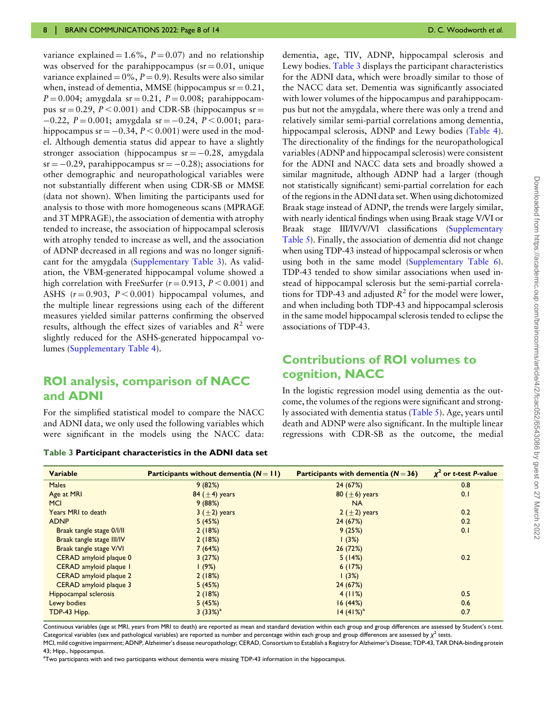variance explained =  $1.6\%$ ,  $P = 0.07$  and no relationship was observed for the parahippocampus ( $sr = 0.01$ , unique variance explained =  $0\%$ ,  $P = 0.9$ ). Results were also similar when, instead of dementia, MMSE (hippocampus  $sr = 0.21$ ,  $P = 0.004$ ; amygdala sr = 0.21,  $P = 0.008$ ; parahippocampus sr  $= 0.29$ ,  $P < 0.001$ ) and CDR-SB (hippocampus sr  $=$  $-0.22$ ,  $P = 0.001$ ; amygdala sr =  $-0.24$ ,  $P < 0.001$ ; parahippocampus sr  $= -0.34$ ,  $P < 0.001$ ) were used in the model. Although dementia status did appear to have a slightly stronger association (hippocampus  $sr = -0.28$ , amygdala  $sr = -0.29$ , parahippocampus  $sr = -0.28$ ; associations for other demographic and neuropathological variables were not substantially different when using CDR-SB or MMSE (data not shown). When limiting the participants used for analysis to those with more homogeneous scans (MPRAGE and 3T MPRAGE), the association of dementia with atrophy tended to increase, the association of hippocampal sclerosis with atrophy tended to increase as well, and the association of ADNP decreased in all regions and was no longer significant for the amygdala [\(Supplementary Table 3\)](http://academic.oup.com/braincomms/article-lookup/doi/10.1093/braincomms/fcac052#supplementary-data). As validation, the VBM-generated hippocampal volume showed a high correlation with FreeSurfer ( $r = 0.913$ ,  $P < 0.001$ ) and ASHS  $(r = 0.903, P < 0.001)$  hippocampal volumes, and the multiple linear regressions using each of the different measures yielded similar patterns confirming the observed results, although the effect sizes of variables and  $R^2$  were slightly reduced for the ASHS-generated hippocampal volumes [\(Supplementary Table 4](http://academic.oup.com/braincomms/article-lookup/doi/10.1093/braincomms/fcac052#supplementary-data)).

#### ROI analysis, comparison of NACC and ADNI

For the simplified statistical model to compare the NACC and ADNI data, we only used the following variables which were significant in the models using the NACC data:

Table 3 Participant characteristics in the ADNI data set

dementia, age, TIV, ADNP, hippocampal sclerosis and Lewy bodies. Table 3 displays the participant characteristics for the ADNI data, which were broadly similar to those of the NACC data set. Dementia was significantly associated with lower volumes of the hippocampus and parahippocampus but not the amygdala, where there was only a trend and relatively similar semi-partial correlations among dementia, hippocampal sclerosis, ADNP and Lewy bodies ([Table 4\)](#page-8-0). The directionality of the findings for the neuropathological variables (ADNP and hippocampal sclerosis) were consistent for the ADNI and NACC data sets and broadly showed a similar magnitude, although ADNP had a larger (though not statistically significant) semi-partial correlation for each of the regions in the ADNI data set. When using dichotomized Braak stage instead of ADNP, the trends were largely similar, with nearly identical findings when using Braak stage V/VI or Braak stage III/IV/V/VI classifications [\(Supplementary](http://academic.oup.com/braincomms/article-lookup/doi/10.1093/braincomms/fcac052#supplementary-data) [Table 5](http://academic.oup.com/braincomms/article-lookup/doi/10.1093/braincomms/fcac052#supplementary-data)). Finally, the association of dementia did not change when using TDP-43 instead of hippocampal sclerosis or when using both in the same model [\(Supplementary Table 6\)](http://academic.oup.com/braincomms/article-lookup/doi/10.1093/braincomms/fcac052#supplementary-data). TDP-43 tended to show similar associations when used instead of hippocampal sclerosis but the semi-partial correlations for TDP-43 and adjusted  $R^2$  for the model were lower, and when including both TDP-43 and hippocampal sclerosis in the same model hippocampal sclerosis tended to eclipse the associations of TDP-43.

### Contributions of ROI volumes to cognition, NACC

In the logistic regression model using dementia as the outcome, the volumes of the regions were significant and strongly associated with dementia status [\(Table 5\)](#page-8-0). Age, years until death and ADNP were also significant. In the multiple linear regressions with CDR-SB as the outcome, the medial

| <b>Variable</b>           | Participants without dementia $(N = 11)$ | Participants with dementia $(N = 36)$ | $x^2$ or t-test P-value |
|---------------------------|------------------------------------------|---------------------------------------|-------------------------|
| <b>Males</b>              | 9(82%)                                   | 24 (67%)                              | 0.8                     |
| Age at MRI                | 84 $(\pm 4)$ years                       | 80 ( $\pm$ 6) years                   | 0.1                     |
| <b>MCI</b>                | 9(88%)                                   | <b>NA</b>                             |                         |
| Years MRI to death        | $3(+2)$ years                            | 2 $(\pm 2)$ years                     | 0.2                     |
| <b>ADNP</b>               | 5(45%)                                   | 24 (67%)                              | 0.2                     |
| Braak tangle stage 0/l/ll | 2(18%)                                   | 9(25%)                                | 0.1                     |
| Braak tangle stage III/IV | 2(18%)                                   | 1(3%)                                 |                         |
| Braak tangle stage V/VI   | 7(64%)                                   | 26(72%)                               |                         |
| CERAD amyloid plaque 0    | 3(27%)                                   | 5(14%)                                | 0.2                     |
| CERAD amyloid plaque I    | 1(9%)                                    | 6(17%)                                |                         |
| CERAD amyloid plaque 2    | 2(18%)                                   | 1(3%)                                 |                         |
| CERAD amyloid plaque 3    | 5(45%)                                   | 24 (67%)                              |                         |
| Hippocampal sclerosis     | 2(18%)                                   | 4(11%)                                | 0.5                     |
| Lewy bodies               | 5(45%)                                   | 16(44%)                               | 0.6                     |
| TDP-43 Hipp.              | 3 $(33%)^a$                              | 14 (41%) <sup>a</sup>                 | 0.7                     |

Continuous variables (age at MRI, years from MRI to death) are reported as mean and standard deviation within each group and group differences are assessed by Student'<sup>s</sup> t-test. Categorical variables (sex and pathological variables) are reported as number and percentage within each group and group differences are assessed by  $\chi^2$  tests.

MCI, mild cognitive impairment; ADNP, Alzheimer's disease neuropathology; CERAD, Consortium to Establish a Registry for Alzheimer's Disease; TDP-43, TAR DNA-binding protein 43; Hipp., hippocampus.

a Two participants with and two participants without dementia were missing TDP-43 information in the hippocampus.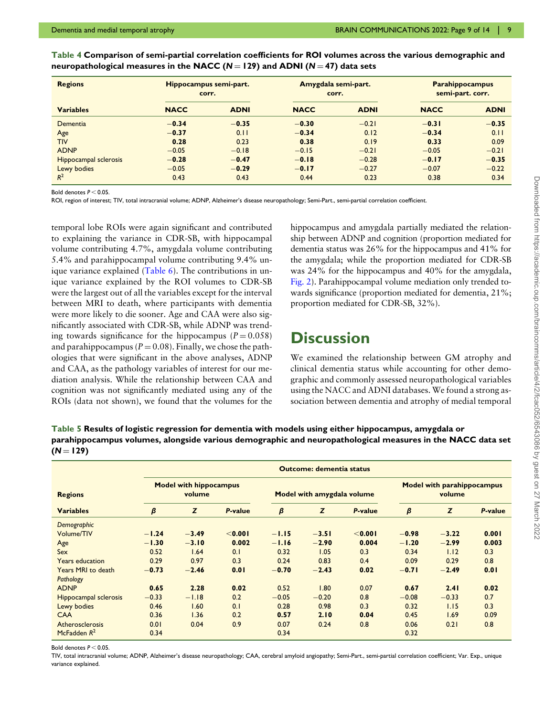| <b>Regions</b>        | Hippocampus semi-part.<br>corr. |             | Amygdala semi-part.<br>corr. |             | <b>Parahippocampus</b><br>semi-part. corr. |             |  |
|-----------------------|---------------------------------|-------------|------------------------------|-------------|--------------------------------------------|-------------|--|
| <b>Variables</b>      | <b>NACC</b>                     | <b>ADNI</b> | <b>NACC</b>                  | <b>ADNI</b> | <b>NACC</b>                                | <b>ADNI</b> |  |
| Dementia              | $-0.34$                         | $-0.35$     | $-0.30$                      | $-0.21$     | $-0.31$                                    | $-0.35$     |  |
| Age                   | $-0.37$                         | 0.11        | $-0.34$                      | 0.12        | $-0.34$                                    | 0.11        |  |
| <b>TIV</b>            | 0.28                            | 0.23        | 0.38                         | 0.19        | 0.33                                       | 0.09        |  |
| <b>ADNP</b>           | $-0.05$                         | $-0.18$     | $-0.15$                      | $-0.21$     | $-0.05$                                    | $-0.21$     |  |
| Hippocampal sclerosis | $-0.28$                         | $-0.47$     | $-0.18$                      | $-0.28$     | $-0.17$                                    | $-0.35$     |  |
| Lewy bodies           | $-0.05$                         | $-0.29$     | $-0.17$                      | $-0.27$     | $-0.07$                                    | $-0.22$     |  |
| $R^2$                 | 0.43                            | 0.43        | 0.44                         | 0.23        | 0.38                                       | 0.34        |  |

<span id="page-8-0"></span>Table 4 Comparison of semi-partial correlation coefficients for ROI volumes across the various demographic and neuropathological measures in the NACC ( $N = 129$ ) and ADNI ( $N = 47$ ) data sets

Bold denotes  $P < 0.05$ 

ROI, region of interest; TIV, total intracranial volume; ADNP, Alzheimer's disease neuropathology; Semi-Part., semi-partial correlation coefficient.

temporal lobe ROIs were again significant and contributed to explaining the variance in CDR-SB, with hippocampal volume contributing 4.7%, amygdala volume contributing 5.4% and parahippocampal volume contributing 9.4% unique variance explained ([Table 6\)](#page-9-0). The contributions in unique variance explained by the ROI volumes to CDR-SB were the largest out of all the variables except for the interval between MRI to death, where participants with dementia were more likely to die sooner. Age and CAA were also significantly associated with CDR-SB, while ADNP was trending towards significance for the hippocampus ( $P = 0.058$ ) and parahippocampus ( $P = 0.08$ ). Finally, we chose the pathologies that were significant in the above analyses, ADNP and CAA, as the pathology variables of interest for our mediation analysis. While the relationship between CAA and cognition was not significantly mediated using any of the ROIs (data not shown), we found that the volumes for the hippocampus and amygdala partially mediated the relationship between ADNP and cognition (proportion mediated for dementia status was 26% for the hippocampus and 41% for the amygdala; while the proportion mediated for CDR-SB was 24% for the hippocampus and 40% for the amygdala, [Fig. 2\)](#page-9-0). Parahippocampal volume mediation only trended towards significance (proportion mediated for dementia, 21%; proportion mediated for CDR-SB, 32%).

## **Discussion**

We examined the relationship between GM atrophy and clinical dementia status while accounting for other demographic and commonly assessed neuropathological variables using the NACC and ADNI databases. We found a strong association between dementia and atrophy of medial temporal

Table 5 Results of logistic regression for dementia with models using either hippocampus, amygdala or parahippocampus volumes, alongside various demographic and neuropathological measures in the NACC data set  $(N = 129)$ 

|                              | <b>Outcome: dementia status</b> |                                         |                |         |                            |                |                                             |         |         |  |
|------------------------------|---------------------------------|-----------------------------------------|----------------|---------|----------------------------|----------------|---------------------------------------------|---------|---------|--|
| <b>Regions</b>               |                                 | <b>Model with hippocampus</b><br>volume |                |         | Model with amygdala volume |                | <b>Model with parahippocampus</b><br>volume |         |         |  |
| <b>Variables</b>             | β                               | Z                                       | <b>P-value</b> | β       | Z                          | <b>P-value</b> | β                                           | Z       | P-value |  |
| Demographic                  |                                 |                                         |                |         |                            |                |                                             |         |         |  |
| Volume/TIV                   | $-1.24$                         | $-3.49$                                 | < 0.001        | $-1.15$ | $-3.51$                    | < 0.001        | $-0.98$                                     | $-3.22$ | 0.001   |  |
| Age                          | $-1.30$                         | $-3.10$                                 | 0.002          | $-1.16$ | $-2.90$                    | 0.004          | $-1.20$                                     | $-2.99$ | 0.003   |  |
| Sex                          | 0.52                            | 1.64                                    | 0.1            | 0.32    | 1.05                       | 0.3            | 0.34                                        | 1.12    | 0.3     |  |
| <b>Years education</b>       | 0.29                            | 0.97                                    | 0.3            | 0.24    | 0.83                       | 0.4            | 0.09                                        | 0.29    | 0.8     |  |
| Years MRI to death           | $-0.73$                         | $-2.46$                                 | 0.01           | $-0.70$ | $-2.43$                    | 0.02           | $-0.71$                                     | $-2.49$ | 0.01    |  |
| Pathology                    |                                 |                                         |                |         |                            |                |                                             |         |         |  |
| <b>ADNP</b>                  | 0.65                            | 2.28                                    | 0.02           | 0.52    | 1.80                       | 0.07           | 0.67                                        | 2.41    | 0.02    |  |
| <b>Hippocampal sclerosis</b> | $-0.33$                         | $-1.18$                                 | 0.2            | $-0.05$ | $-0.20$                    | 0.8            | $-0.08$                                     | $-0.33$ | 0.7     |  |
| Lewy bodies                  | 0.46                            | 1.60                                    | 0.1            | 0.28    | 0.98                       | 0.3            | 0.32                                        | 1.15    | 0.3     |  |
| <b>CAA</b>                   | 0.36                            | 1.36                                    | 0.2            | 0.57    | 2.10                       | 0.04           | 0.45                                        | 1.69    | 0.09    |  |
| Atherosclerosis              | 0.01                            | 0.04                                    | 0.9            | 0.07    | 0.24                       | 0.8            | 0.06                                        | 0.21    | 0.8     |  |
| McFadden $R^2$               | 0.34                            |                                         |                | 0.34    |                            |                | 0.32                                        |         |         |  |

Bold denotes  $P < 0.05$ .

TIV, total intracranial volume; ADNP, Alzheimer's disease neuropathology; CAA, cerebral amyloid angiopathy; Semi-Part., semi-partial correlation coefficient; Var. Exp., unique variance explained.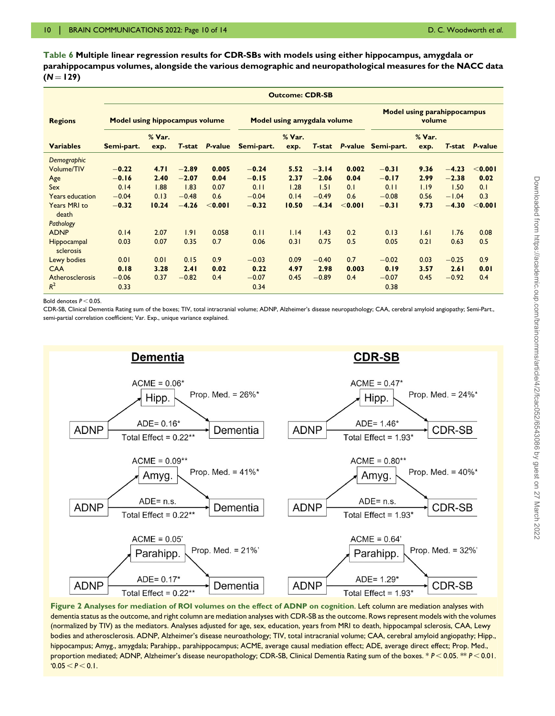<span id="page-9-0"></span>Table 6 Multiple linear regression results for CDR-SBs with models using either hippocampus, amygdala or parahippocampus volumes, alongside the various demographic and neuropathological measures for the NACC data  $(N = 129)$ 

|                                                                                                                               | <b>Outcome: CDR-SB</b>                                           |                                                       |                                                                  |                                                         |                                                                  |                                                       |                                                                  |                                                      |                                                                  |                                                      |                                                                  |                                                         |
|-------------------------------------------------------------------------------------------------------------------------------|------------------------------------------------------------------|-------------------------------------------------------|------------------------------------------------------------------|---------------------------------------------------------|------------------------------------------------------------------|-------------------------------------------------------|------------------------------------------------------------------|------------------------------------------------------|------------------------------------------------------------------|------------------------------------------------------|------------------------------------------------------------------|---------------------------------------------------------|
| <b>Regions</b>                                                                                                                | <b>Model using hippocampus volume</b>                            |                                                       |                                                                  |                                                         | Model using amygdala volume                                      |                                                       |                                                                  |                                                      | <b>Model using parahippocampus</b><br>volume                     |                                                      |                                                                  |                                                         |
| <b>Variables</b>                                                                                                              | Semi-part.                                                       | % Var.<br>exp.                                        | <b>T-stat</b>                                                    | <b>P-value</b>                                          | Semi-part.                                                       | % Var.<br>exp.                                        | <b>T-stat</b>                                                    | P-value                                              | Semi-part.                                                       | % Var.<br>exp.                                       | T-stat                                                           | P-value                                                 |
| Demographic<br>Volume/TIV<br>Age<br>Sex<br><b>Years education</b><br><b>Years MRI to</b><br>death<br>Pathology<br><b>ADNP</b> | $-0.22$<br>$-0.16$<br>0.14<br>$-0.04$<br>$-0.32$<br>0.14<br>0.03 | 4.71<br>2.40<br>1.88<br>0.13<br>10.24<br>2.07<br>0.07 | $-2.89$<br>$-2.07$<br>1.83<br>$-0.48$<br>$-4.26$<br>1.91<br>0.35 | 0.005<br>0.04<br>0.07<br>0.6<br>< 0.001<br>0.058<br>0.7 | $-0.24$<br>$-0.15$<br>0.11<br>$-0.04$<br>$-0.32$<br>0.11<br>0.06 | 5.52<br>2.37<br>1.28<br>0.14<br>10.50<br>1.14<br>0.31 | $-3.14$<br>$-2.06$<br>1.51<br>$-0.49$<br>$-4.34$<br>1.43<br>0.75 | 0.002<br>0.04<br>0.1<br>0.6<br>< 0.001<br>0.2<br>0.5 | $-0.31$<br>$-0.17$<br>0.11<br>$-0.08$<br>$-0.31$<br>0.13<br>0.05 | 9.36<br>2.99<br>1.19<br>0.56<br>9.73<br>1.61<br>0.21 | $-4.23$<br>$-2.38$<br>1.50<br>$-1.04$<br>$-4.30$<br>1.76<br>0.63 | < 0.001<br>0.02<br>0.1<br>0.3<br>< 0.001<br>0.08<br>0.5 |
| Hippocampal<br>sclerosis<br>Lewy bodies<br><b>CAA</b><br>Atherosclerosis<br>$R^2$                                             | 0.01<br>0.18<br>$-0.06$<br>0.33                                  | 0.01<br>3.28<br>0.37                                  | 0.15<br>2.41<br>$-0.82$                                          | 0.9<br>0.02<br>0.4                                      | $-0.03$<br>0.22<br>$-0.07$<br>0.34                               | 0.09<br>4.97<br>0.45                                  | $-0.40$<br>2.98<br>$-0.89$                                       | 0.7<br>0.003<br>0.4                                  | $-0.02$<br>0.19<br>$-0.07$<br>0.38                               | 0.03<br>3.57<br>0.45                                 | $-0.25$<br>2.61<br>$-0.92$                                       | 0.9<br>0.01<br>0.4                                      |

Bold denotes  $P < 0.05$ .

CDR-SB, Clinical Dementia Rating sum of the boxes; TIV, total intracranial volume; ADNP, Alzheimer's disease neuropathology; CAA, cerebral amyloid angiopathy; Semi-Part., semi-partial correlation coefficient; Var. Exp., unique variance explained.



Figure 2 Analyses for mediation of ROI volumes on the effect of ADNP on cognition. Left column are mediation analyses with dementia status as the outcome, and right column are mediation analyses with CDR-SB as the outcome. Rows represent models with the volumes (normalized by TIV) as the mediators. Analyses adjusted for age, sex, education, years from MRI to death, hippocampal sclerosis, CAA, Lewy bodies and atherosclerosis. ADNP, Alzheimer's disease neuroathology; TIV, total intracranial volume; CAA, cerebral amyloid angiopathy; Hipp., hippocampus; Amyg., amygdala; Parahipp., parahippocampus; ACME, average causal mediation effect; ADE, average direct effect; Prop. Med., proportion mediated; ADNP, Alzheimer's disease neuropathology; CDR-SB, Clinical Dementia Rating sum of the boxes. \*  $P < 0.05$ . \*\*  $P < 0.01$ .  $0.05 < P < 0.1$ .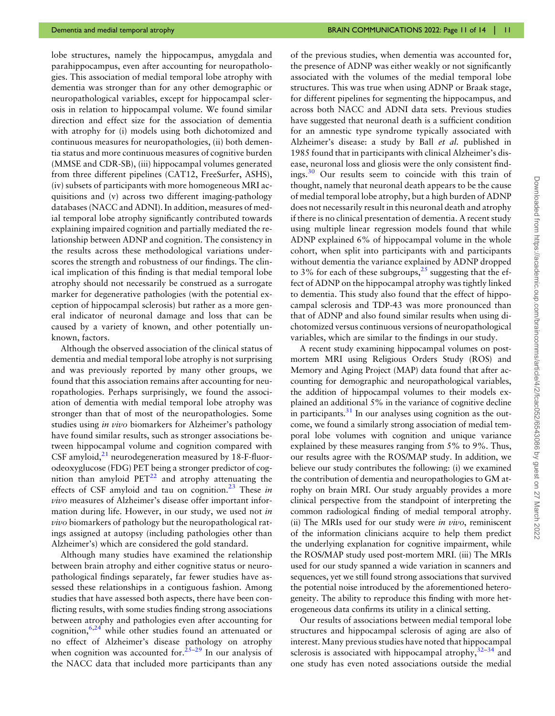lobe structures, namely the hippocampus, amygdala and parahippocampus, even after accounting for neuropathologies. This association of medial temporal lobe atrophy with dementia was stronger than for any other demographic or neuropathological variables, except for hippocampal sclerosis in relation to hippocampal volume. We found similar direction and effect size for the association of dementia with atrophy for (i) models using both dichotomized and continuous measures for neuropathologies, (ii) both dementia status and more continuous measures of cognitive burden (MMSE and CDR-SB), (iii) hippocampal volumes generated from three different pipelines (CAT12, FreeSurfer, ASHS), (iv) subsets of participants with more homogeneous MRI acquisitions and (v) across two different imaging-pathology databases (NACC and ADNI). In addition, measures of medial temporal lobe atrophy significantly contributed towards explaining impaired cognition and partially mediated the relationship between ADNP and cognition. The consistency in the results across these methodological variations underscores the strength and robustness of our findings. The clinical implication of this finding is that medial temporal lobe atrophy should not necessarily be construed as a surrogate marker for degenerative pathologies (with the potential exception of hippocampal sclerosis) but rather as a more general indicator of neuronal damage and loss that can be caused by a variety of known, and other potentially unknown, factors.

<span id="page-10-0"></span>Although the observed association of the clinical status of dementia and medial temporal lobe atrophy is not surprising and was previously reported by many other groups, we found that this association remains after accounting for neuropathologies. Perhaps surprisingly, we found the association of dementia with medial temporal lobe atrophy was stronger than that of most of the neuropathologies. Some studies using in vivo biomarkers for Alzheimer's pathology have found similar results, such as stronger associations between hippocampal volume and cognition compared with CSF amyloid, $^{21}$  $^{21}$  $^{21}$  neurodegeneration measured by 18-F-fluorodeoxyglucose (FDG) PET being a stronger predictor of cognition than amyloid  $PET^{22}$  $PET^{22}$  $PET^{22}$  and atrophy attenuating the effects of CSF amyloid and tau on cognition.<sup>[23](#page-13-0)</sup> These in vivo measures of Alzheimer's disease offer important information during life. However, in our study, we used not in vivo biomarkers of pathology but the neuropathological ratings assigned at autopsy (including pathologies other than Alzheimer's) which are considered the gold standard.

<span id="page-10-5"></span><span id="page-10-3"></span><span id="page-10-2"></span><span id="page-10-1"></span>Although many studies have examined the relationship between brain atrophy and either cognitive status or neuropathological findings separately, far fewer studies have assessed these relationships in a contiguous fashion. Among studies that have assessed both aspects, there have been conflicting results, with some studies finding strong associations between atrophy and pathologies even after accounting for cognition,  $6,24$  $6,24$  while other studies found an attenuated or no effect of Alzheimer's disease pathology on atrophy when cognition was accounted for.<sup>[25](#page-13-0)–[29](#page-13-0)</sup> In our analysis of the NACC data that included more participants than any

<span id="page-10-6"></span>of the previous studies, when dementia was accounted for, the presence of ADNP was either weakly or not significantly associated with the volumes of the medial temporal lobe structures. This was true when using ADNP or Braak stage, for different pipelines for segmenting the hippocampus, and across both NACC and ADNI data sets. Previous studies have suggested that neuronal death is a sufficient condition for an amnestic type syndrome typically associated with Alzheimer's disease: a study by Ball et al. published in 1985 found that in participants with clinical Alzheimer's disease, neuronal loss and gliosis were the only consistent findings.[30](#page-13-0) Our results seem to coincide with this train of thought, namely that neuronal death appears to be the cause of medial temporal lobe atrophy, but a high burden of ADNP does not necessarily result in this neuronal death and atrophy if there is no clinical presentation of dementia. A recent study using multiple linear regression models found that while ADNP explained 6% of hippocampal volume in the whole cohort, when split into participants with and participants without dementia the variance explained by ADNP dropped to 3% for each of these subgroups, $2^5$  suggesting that the effect of ADNP on the hippocampal atrophy was tightly linked to dementia. This study also found that the effect of hippocampal sclerosis and TDP-43 was more pronounced than that of ADNP and also found similar results when using dichotomized versus continuous versions of neuropathological variables, which are similar to the findings in our study.

<span id="page-10-7"></span><span id="page-10-4"></span>A recent study examining hippocampal volumes on postmortem MRI using Religious Orders Study (ROS) and Memory and Aging Project (MAP) data found that after accounting for demographic and neuropathological variables, the addition of hippocampal volumes to their models explained an additional 5% in the variance of cognitive decline in participants. $31$  In our analyses using cognition as the outcome, we found a similarly strong association of medial temporal lobe volumes with cognition and unique variance explained by these measures ranging from 5% to 9%. Thus, our results agree with the ROS/MAP study. In addition, we believe our study contributes the following: (i) we examined the contribution of dementia and neuropathologies to GM atrophy on brain MRI. Our study arguably provides a more clinical perspective from the standpoint of interpreting the common radiological finding of medial temporal atrophy. (ii) The MRIs used for our study were *in vivo*, reminiscent of the information clinicians acquire to help them predict the underlying explanation for cognitive impairment, while the ROS/MAP study used post-mortem MRI. (iii) The MRIs used for our study spanned a wide variation in scanners and sequences, yet we still found strong associations that survived the potential noise introduced by the aforementioned heterogeneity. The ability to reproduce this finding with more heterogeneous data confirms its utility in a clinical setting.

<span id="page-10-8"></span>Our results of associations between medial temporal lobe structures and hippocampal sclerosis of aging are also of interest. Many previous studies have noted that hippocampal sclerosis is associated with hippocampal atrophy,  $32-34$  $32-34$  and one study has even noted associations outside the medial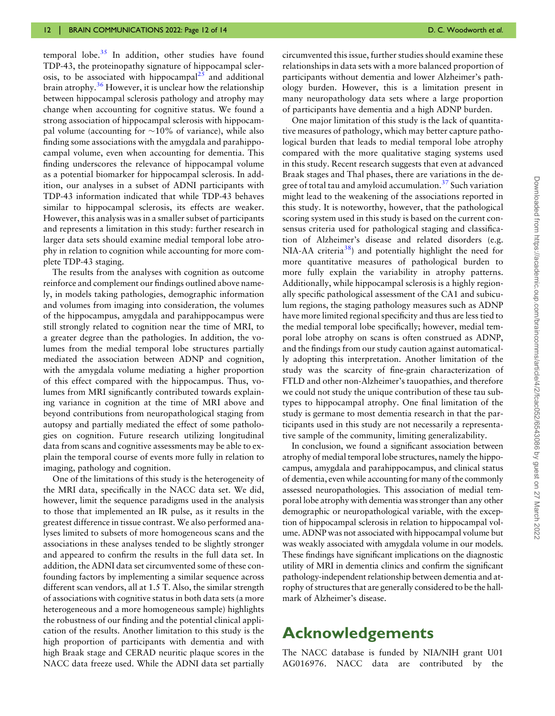<span id="page-11-1"></span><span id="page-11-0"></span>temporal lobe. $35$  In addition, other studies have found TDP-43, the proteinopathy signature of hippocampal sclerosis, to be associated with hippocampal<sup>25</sup> and additional brain atrophy. $36$  However, it is unclear how the relationship between hippocampal sclerosis pathology and atrophy may change when accounting for cognitive status. We found a strong association of hippocampal sclerosis with hippocampal volume (accounting for  $\sim$ 10% of variance), while also finding some associations with the amygdala and parahippocampal volume, even when accounting for dementia. This finding underscores the relevance of hippocampal volume as a potential biomarker for hippocampal sclerosis. In addition, our analyses in a subset of ADNI participants with TDP-43 information indicated that while TDP-43 behaves similar to hippocampal sclerosis, its effects are weaker. However, this analysis was in a smaller subset of participants and represents a limitation in this study: further research in larger data sets should examine medial temporal lobe atrophy in relation to cognition while accounting for more complete TDP-43 staging.

The results from the analyses with cognition as outcome reinforce and complement our findings outlined above namely, in models taking pathologies, demographic information and volumes from imaging into consideration, the volumes of the hippocampus, amygdala and parahippocampus were still strongly related to cognition near the time of MRI, to a greater degree than the pathologies. In addition, the volumes from the medial temporal lobe structures partially mediated the association between ADNP and cognition, with the amygdala volume mediating a higher proportion of this effect compared with the hippocampus. Thus, volumes from MRI significantly contributed towards explaining variance in cognition at the time of MRI above and beyond contributions from neuropathological staging from autopsy and partially mediated the effect of some pathologies on cognition. Future research utilizing longitudinal data from scans and cognitive assessments may be able to explain the temporal course of events more fully in relation to imaging, pathology and cognition.

One of the limitations of this study is the heterogeneity of the MRI data, specifically in the NACC data set. We did, however, limit the sequence paradigms used in the analysis to those that implemented an IR pulse, as it results in the greatest difference in tissue contrast. We also performed analyses limited to subsets of more homogeneous scans and the associations in these analyses tended to be slightly stronger and appeared to confirm the results in the full data set. In addition, the ADNI data set circumvented some of these confounding factors by implementing a similar sequence across different scan vendors, all at 1.5 T. Also, the similar strength of associations with cognitive status in both data sets (a more heterogeneous and a more homogeneous sample) highlights the robustness of our finding and the potential clinical application of the results. Another limitation to this study is the high proportion of participants with dementia and with high Braak stage and CERAD neuritic plaque scores in the NACC data freeze used. While the ADNI data set partially circumvented this issue, further studies should examine these relationships in data sets with a more balanced proportion of participants without dementia and lower Alzheimer's pathology burden. However, this is a limitation present in many neuropathology data sets where a large proportion of participants have dementia and a high ADNP burden.

<span id="page-11-3"></span><span id="page-11-2"></span>One major limitation of this study is the lack of quantitative measures of pathology, which may better capture pathological burden that leads to medial temporal lobe atrophy compared with the more qualitative staging systems used in this study. Recent research suggests that even at advanced Braak stages and Thal phases, there are variations in the degree of total tau and amyloid accumulation. $37$  Such variation might lead to the weakening of the associations reported in this study. It is noteworthy, however, that the pathological scoring system used in this study is based on the current consensus criteria used for pathological staging and classification of Alzheimer's disease and related disorders (e.g. NIA-AA criteria<sup>38</sup>) and potentially highlight the need for more quantitative measures of pathological burden to more fully explain the variability in atrophy patterns. Additionally, while hippocampal sclerosis is a highly regionally specific pathological assessment of the CA1 and subiculum regions, the staging pathology measures such as ADNP have more limited regional specificity and thus are less tied to the medial temporal lobe specifically; however, medial temporal lobe atrophy on scans is often construed as ADNP, and the findings from our study caution against automatically adopting this interpretation. Another limitation of the study was the scarcity of fine-grain characterization of FTLD and other non-Alzheimer's tauopathies, and therefore we could not study the unique contribution of these tau subtypes to hippocampal atrophy. One final limitation of the study is germane to most dementia research in that the participants used in this study are not necessarily a representative sample of the community, limiting generalizability.

In conclusion, we found a significant association between atrophy of medial temporal lobe structures, namely the hippocampus, amygdala and parahippocampus, and clinical status of dementia, even while accounting for many of the commonly assessed neuropathologies. This association of medial temporal lobe atrophy with dementia was stronger than any other demographic or neuropathological variable, with the exception of hippocampal sclerosis in relation to hippocampal volume. ADNP was not associated with hippocampal volume but was weakly associated with amygdala volume in our models. These findings have significant implications on the diagnostic utility of MRI in dementia clinics and confirm the significant pathology-independent relationship between dementia and atrophy of structures that are generally considered to be the hallmark of Alzheimer's disease.

## Acknowledgements

The NACC database is funded by NIA/NIH grant U01 AG016976. NACC data are contributed by the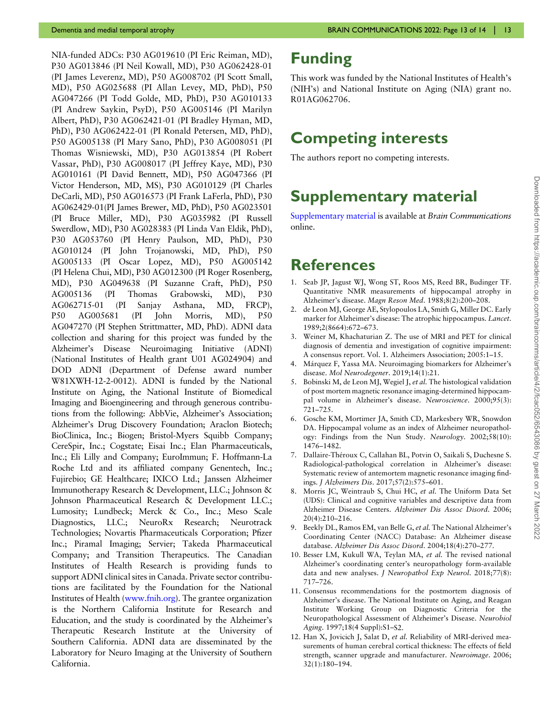<span id="page-12-0"></span>NIA-funded ADCs: P30 AG019610 (PI Eric Reiman, MD), P30 AG013846 (PI Neil Kowall, MD), P30 AG062428-01 (PI James Leverenz, MD), P50 AG008702 (PI Scott Small, MD), P50 AG025688 (PI Allan Levey, MD, PhD), P50 AG047266 (PI Todd Golde, MD, PhD), P30 AG010133 (PI Andrew Saykin, PsyD), P50 AG005146 (PI Marilyn Albert, PhD), P30 AG062421-01 (PI Bradley Hyman, MD, PhD), P30 AG062422-01 (PI Ronald Petersen, MD, PhD), P50 AG005138 (PI Mary Sano, PhD), P30 AG008051 (PI Thomas Wisniewski, MD), P30 AG013854 (PI Robert Vassar, PhD), P30 AG008017 (PI Jeffrey Kaye, MD), P30 AG010161 (PI David Bennett, MD), P50 AG047366 (PI Victor Henderson, MD, MS), P30 AG010129 (PI Charles DeCarli, MD), P50 AG016573 (PI Frank LaFerla, PhD), P30 AG062429-01(PI James Brewer, MD, PhD), P50 AG023501 (PI Bruce Miller, MD), P30 AG035982 (PI Russell Swerdlow, MD), P30 AG028383 (PI Linda Van Eldik, PhD), P30 AG053760 (PI Henry Paulson, MD, PhD), P30 AG010124 (PI John Trojanowski, MD, PhD), P50 AG005133 (PI Oscar Lopez, MD), P50 AG005142 (PI Helena Chui, MD), P30 AG012300 (PI Roger Rosenberg, MD), P30 AG049638 (PI Suzanne Craft, PhD), P50 AG005136 (PI Thomas Grabowski, MD), P30 AG062715-01 (PI Sanjay Asthana, MD, FRCP), P50 AG005681 (PI John Morris, MD), P50 AG047270 (PI Stephen Strittmatter, MD, PhD). ADNI data collection and sharing for this project was funded by the Alzheimer's Disease Neuroimaging Initiative (ADNI) (National Institutes of Health grant U01 AG024904) and DOD ADNI (Department of Defense award number W81XWH-12-2-0012). ADNI is funded by the National Institute on Aging, the National Institute of Biomedical Imaging and Bioengineering and through generous contributions from the following: AbbVie, Alzheimer's Association; Alzheimer's Drug Discovery Foundation; Araclon Biotech; BioClinica, Inc.; Biogen; Bristol-Myers Squibb Company; CereSpir, Inc.; Cogstate; Eisai Inc.; Elan Pharmaceuticals, Inc.; Eli Lilly and Company; EuroImmun; F. Hoffmann-La Roche Ltd and its affiliated company Genentech, Inc.; Fujirebio; GE Healthcare; IXICO Ltd.; Janssen Alzheimer Immunotherapy Research & Development, LLC.; Johnson & Johnson Pharmaceutical Research & Development LLC.; Lumosity; Lundbeck; Merck & Co., Inc.; Meso Scale Diagnostics, LLC.; NeuroRx Research; Neurotrack Technologies; Novartis Pharmaceuticals Corporation; Pfizer Inc.; Piramal Imaging; Servier; Takeda Pharmaceutical Company; and Transition Therapeutics. The Canadian Institutes of Health Research is providing funds to support ADNI clinical sites in Canada. Private sector contributions are facilitated by the Foundation for the National Institutes of Health ([www.fnih.org\)](https://www.fnih.org). The grantee organization is the Northern California Institute for Research and Education, and the study is coordinated by the Alzheimer's Therapeutic Research Institute at the University of Southern California. ADNI data are disseminated by the Laboratory for Neuro Imaging at the University of Southern California.

## Funding

This work was funded by the National Institutes of Health's (NIH's) and National Institute on Aging (NIA) grant no. R01AG062706.

## Competing interests

The authors report no competing interests.

## Supplementary material

[Supplementary material](http://academic.oup.com/braincomms/article-lookup/doi/10.1093/braincomms/fcac052#supplementary-data) is available at Brain Communications online.

## **References**

- [1](#page-1-0). Seab JP, Jagust WJ, Wong ST, Roos MS, Reed BR, Budinger TF. Quantitative NMR measurements of hippocampal atrophy in Alzheimer's disease. Magn Reson Med. 1988;8(2):200–208.
- [2](#page-1-1). de Leon MJ, George AE, Stylopoulos LA, Smith G, Miller DC. Early marker for Alzheimer's disease: The atrophic hippocampus. Lancet. 1989;2(8664):672–673.
- [3](#page-2-0). Weiner M, Khachaturian Z. The use of MRI and PET for clinical diagnosis of dementia and investigation of cognitive impairment: A consensus report. Vol. 1. Alzheimers Association; 2005:1–15.
- [4](#page-2-1). Márquez F, Yassa MA. Neuroimaging biomarkers for Alzheimer's disease. Mol Neurodegener. 2019;14(1):21.
- [5](#page-2-2). Bobinski M, de Leon MJ, Wegiel J, et al. The histological validation of post mortem magnetic resonance imaging-determined hippocampal volume in Alzheimer's disease. Neuroscience. 2000;95(3): 721–725.
- [6](#page-2-3). Gosche KM, Mortimer JA, Smith CD, Markesbery WR, Snowdon DA. Hippocampal volume as an index of Alzheimer neuropathology: Findings from the Nun Study. Neurology. 2002;58(10): 1476–1482.
- [7](#page-2-4). Dallaire-Théroux C, Callahan BL, Potvin O, Saikali S, Duchesne S. Radiological-pathological correlation in Alzheimer's disease: Systematic review of antemortem magnetic resonance imaging findings. J Alzheimers Dis. 2017;57(2):575–601.
- Morris JC, Weintraub S, Chui HC, et al. The Uniform Data Set (UDS): Clinical and cognitive variables and descriptive data from Alzheimer Disease Centers. Alzheimer Dis Assoc Disord. 2006; 20(4):210–216.
- [9](#page-2-6). Beekly DL, Ramos EM, van Belle G, et al. The National Alzheimer's Coordinating Center (NACC) Database: An Alzheimer disease database. Alzheimer Dis Assoc Disord. 2004;18(4):270–277.
- [10.](#page-2-6) Besser LM, Kukull WA, Teylan MA, et al. The revised national Alzheimer's coordinating center's neuropathology form-available data and new analyses. J Neuropathol Exp Neurol. 2018;77(8): 717–726.
- [11.](#page-2-7) Consensus recommendations for the postmortem diagnosis of Alzheimer's disease. The National Institute on Aging, and Reagan Institute Working Group on Diagnostic Criteria for the Neuropathological Assessment of Alzheimer's Disease. Neurobiol Aging. 1997;18(4 Suppl):S1–S2.
- [12.](#page-3-0) Han X, Jovicich J, Salat D, et al. Reliability of MRI-derived measurements of human cerebral cortical thickness: The effects of field strength, scanner upgrade and manufacturer. Neuroimage. 2006; 32(1):180–194.